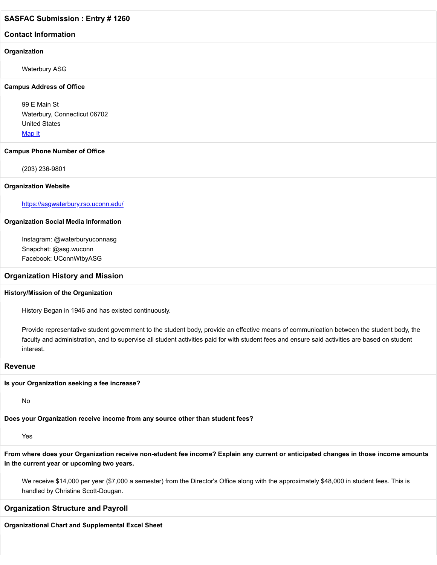#### **Contact Information**

#### **Organization**

Waterbury ASG

#### **Campus Address of Office**

99 E Main St Waterbury, Connecticut 06702 United States [Map It](http://maps.google.com/maps?q=99+E+Main+St+Waterbury%2C+Connecticut+06702+United+States)

#### **Campus Phone Number of Office**

(203) 236-9801

#### **Organization Website**

<https://asgwaterbury.rso.uconn.edu/>

#### **Organization Social Media Information**

Instagram: @waterburyuconnasg Snapchat: @asg.wuconn Facebook: UConnWtbyASG

#### **Organization History and Mission**

#### **History/Mission of the Organization**

History Began in 1946 and has existed continuously.

Provide representative student government to the student body, provide an effective means of communication between the student body, the faculty and administration, and to supervise all student activities paid for with student fees and ensure said activities are based on student interest.

#### **Revenue**

#### **Is your Organization seeking a fee increase?**

No

**Does your Organization receive income from any source other than student fees?**

Yes

**From where does your Organization receive non-student fee income? Explain any current or anticipated changes in those income amounts in the current year or upcoming two years.**

We receive \$14,000 per year (\$7,000 a semester) from the Director's Office along with the approximately \$48,000 in student fees. This is handled by Christine Scott-Dougan.

#### **Organization Structure and Payroll**

**Organizational Chart and Supplemental Excel Sheet**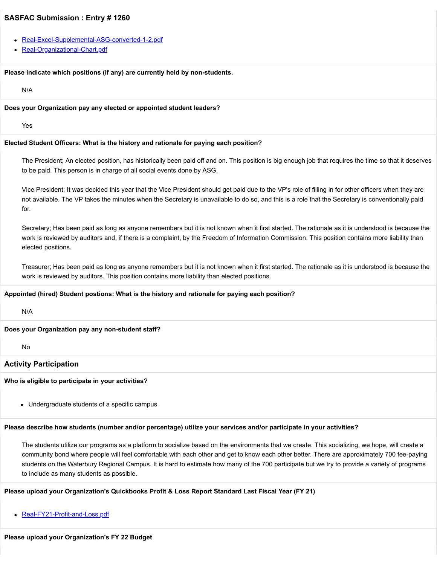- [Real-Excel-Supplemental-ASG-converted-1-2.pdf](https://trusteeorgsupport.uconn.edu/index.php?gf-download=2022%2F02%2FReal-Excel-Supplemental-ASG-converted-1-2.pdf&form-id=18&field-id=13&hash=b8cc3b0f90127cb5e4aa084dd7bdf6b53a7094b14c4a799fb840eb8baed4cee5)
- [Real-Organizational-Chart.pdf](https://trusteeorgsupport.uconn.edu/index.php?gf-download=2022%2F02%2FReal-Organizational-Chart.pdf&form-id=18&field-id=13&hash=0971a7252177e9ff8399ea6e0b7568701dcef4644af0ecf7bad60a1cf9318de3)

#### **Please indicate which positions (if any) are currently held by non-students.**

N/A

#### **Does your Organization pay any elected or appointed student leaders?**

Yes

#### **Elected Student Officers: What is the history and rationale for paying each position?**

The President; An elected position, has historically been paid off and on. This position is big enough job that requires the time so that it deserves to be paid. This person is in charge of all social events done by ASG.

Vice President; It was decided this year that the Vice President should get paid due to the VP's role of filling in for other officers when they are not available. The VP takes the minutes when the Secretary is unavailable to do so, and this is a role that the Secretary is conventionally paid for.

Secretary; Has been paid as long as anyone remembers but it is not known when it first started. The rationale as it is understood is because the work is reviewed by auditors and, if there is a complaint, by the Freedom of Information Commission. This position contains more liability than elected positions.

Treasurer; Has been paid as long as anyone remembers but it is not known when it first started. The rationale as it is understood is because the work is reviewed by auditors. This position contains more liability than elected positions.

#### **Appointed (hired) Student postions: What is the history and rationale for paying each position?**

N/A

#### **Does your Organization pay any non-student staff?**

No

#### **Activity Participation**

#### **Who is eligible to participate in your activities?**

Undergraduate students of a specific campus

#### **Please describe how students (number and/or percentage) utilize your services and/or participate in your activities?**

The students utilize our programs as a platform to socialize based on the environments that we create. This socializing, we hope, will create a community bond where people will feel comfortable with each other and get to know each other better. There are approximately 700 fee-paying students on the Waterbury Regional Campus. It is hard to estimate how many of the 700 participate but we try to provide a variety of programs to include as many students as possible.

#### **Please upload your Organization's Quickbooks Profit & Loss Report Standard Last Fiscal Year (FY 21)**

• [Real-FY21-Profit-and-Loss.pdf](https://trusteeorgsupport.uconn.edu/index.php?gf-download=2022%2F02%2FReal-FY21-Profit-and-Loss.pdf&form-id=18&field-id=62&hash=c32964801799f48fafbb56cb861d8ac4fea3044e9d2bde4b101540a83ec07fd6)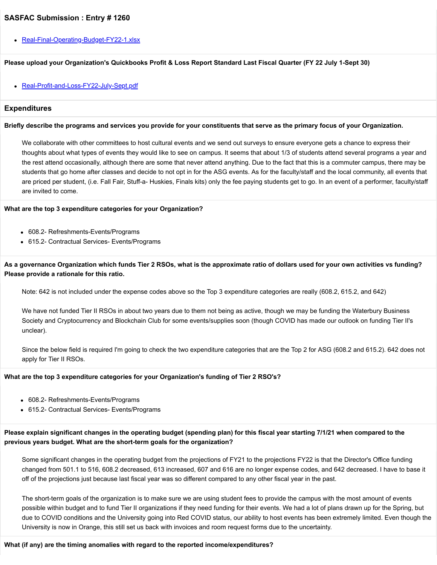• [Real-Final-Operating-Budget-FY22-1.xlsx](https://trusteeorgsupport.uconn.edu/index.php?gf-download=2022%2F02%2FReal-Final-Operating-Budget-FY22-1.xlsx&form-id=18&field-id=65&hash=a90448d5d661f84fb68fc7b05b7a01f4def4d4a13b998301cec7f83d9247f832)

#### **Please upload your Organization's Quickbooks Profit & Loss Report Standard Last Fiscal Quarter (FY 22 July 1-Sept 30)**

• [Real-Profit-and-Loss-FY22-July-Sept.pdf](https://trusteeorgsupport.uconn.edu/index.php?gf-download=2022%2F02%2FReal-Profit-and-Loss-FY22-July-Sept.pdf&form-id=18&field-id=64&hash=858b5e7c29cc435cc473db814da843e2b04f59de67c782f832108a2836058aad)

#### **Expenditures**

#### **Briefly describe the programs and services you provide for your constituents that serve as the primary focus of your Organization.**

We collaborate with other committees to host cultural events and we send out surveys to ensure everyone gets a chance to express their thoughts about what types of events they would like to see on campus. It seems that about 1/3 of students attend several programs a year and the rest attend occasionally, although there are some that never attend anything. Due to the fact that this is a commuter campus, there may be students that go home after classes and decide to not opt in for the ASG events. As for the faculty/staff and the local community, all events that are priced per student, (i.e. Fall Fair, Stuff-a- Huskies, Finals kits) only the fee paying students get to go. ln an event of a performer, faculty/staff are invited to come.

#### **What are the top 3 expenditure categories for your Organization?**

- 608.2- Refreshments-Events/Programs
- 615.2- Contractual Services- Events/Programs

**As a governance Organization which funds Tier 2 RSOs, what is the approximate ratio of dollars used for your own activities vs funding? Please provide a rationale for this ratio.**

Note: 642 is not included under the expense codes above so the Top 3 expenditure categories are really (608.2, 615.2, and 642)

We have not funded Tier II RSOs in about two years due to them not being as active, though we may be funding the Waterbury Business Society and Cryptocurrency and Blockchain Club for some events/supplies soon (though COVID has made our outlook on funding Tier II's unclear).

Since the below field is required I'm going to check the two expenditure categories that are the Top 2 for ASG (608.2 and 615.2). 642 does not apply for Tier II RSOs.

#### **What are the top 3 expenditure categories for your Organization's funding of Tier 2 RSO's?**

- 608.2- Refreshments-Events/Programs
- 615.2- Contractual Services- Events/Programs

#### **Please explain significant changes in the operating budget (spending plan) for this fiscal year starting 7/1/21 when compared to the previous years budget. What are the short-term goals for the organization?**

Some significant changes in the operating budget from the projections of FY21 to the projections FY22 is that the Director's Office funding changed from 501.1 to 516, 608.2 decreased, 613 increased, 607 and 616 are no longer expense codes, and 642 decreased. I have to base it off of the projections just because last fiscal year was so different compared to any other fiscal year in the past.

The short-term goals of the organization is to make sure we are using student fees to provide the campus with the most amount of events possible within budget and to fund Tier II organizations if they need funding for their events. We had a lot of plans drawn up for the Spring, but due to COVID conditions and the University going into Red COVID status, our ability to host events has been extremely limited. Even though the University is now in Orange, this still set us back with invoices and room request forms due to the uncertainty.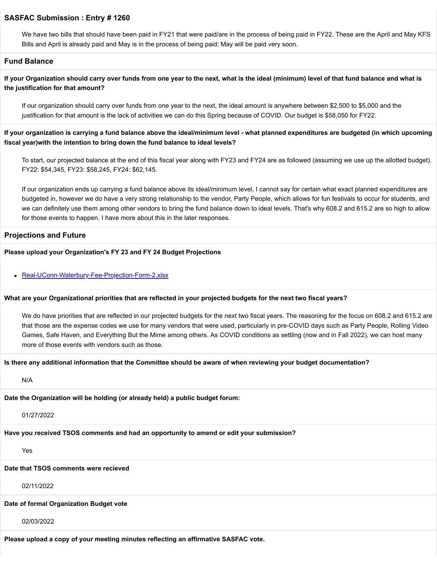We have two bills that should have been paid in FY21 that were paid/are in the process of being paid in FY22. These are the April and May KFS Bills and April is already paid and May is in the process of being paid; May will be paid very soon.

#### **Fund Balance**

**If your Organization should carry over funds from one year to the next, what is the ideal (minimum) level of that fund balance and what is the justification for that amount?**

If our organization should carry over funds from one year to the next, the ideal amount is anywhere between \$2,500 to \$5,000 and the justification for that amount is the lack of activities we can do this Spring because of COVID. Our budget is \$58,050 for FY22.

**If your organization is carrying a fund balance above the ideal/minimum level - what planned expenditures are budgeted (in which upcoming fiscal year)with the intention to bring down the fund balance to ideal levels?**

To start, our projected balance at the end of this fiscal year along with FY23 and FY24 are as followed (assuming we use up the allotted budget). FY22: \$54,345, FY23: \$58,245, FY24: \$62,145.

If our organization ends up carrying a fund balance above its ideal/minimum level, I cannot say for certain what exact planned expenditures are budgeted in, however we do have a very strong relationship to the vendor, Party People, which allows for fun festivals to occur for students, and we can definitely use them among other vendors to bring the fund balance down to ideal levels. That's why 608.2 and 615.2 are so high to allow for those events to happen. I have more about this in the later responses.

#### **Projections and Future**

#### **Please upload your Organization's FY 23 and FY 24 Budget Projections**

• [Real-UConn-Waterbury-Fee-Projection-Form-2.xlsx](https://trusteeorgsupport.uconn.edu/index.php?gf-download=2022%2F02%2FReal-UConn-Waterbury-Fee-Projection-Form-2.xlsx&form-id=18&field-id=63&hash=bb69f4b7a9de4b6080e78c0275dbe77ff85f9a903eb7b972d3dd0b380f1620f4)

#### **What are your Organizational priorities that are reflected in your projected budgets for the next two fiscal years?**

We do have priorities that are reflected in our projected budgets for the next two fiscal years. The reasoning for the focus on 608.2 and 615.2 are that those are the expense codes we use for many vendors that were used, particularly in pre-COVID days such as Party People, Rolling Video Games, Safe Haven, and Everything But the Mime among others. As COVID conditions as settling (now and in Fall 2022), we can host many more of those events with vendors such as those.

#### **Is there any additional information that the Committee should be aware of when reviewing your budget documentation?**

N/A

**Date the Organization will be holding (or already held) a public budget forum:**

01/27/2022

**Have you received TSOS comments and had an opportunity to amend or edit your submission?**

Yes

#### **Date that TSOS comments were recieved**

02/11/2022

#### **Date of formal Organization Budget vote**

02/03/2022

**Please upload a copy of your meeting minutes reflecting an affirmative SASFAC vote.**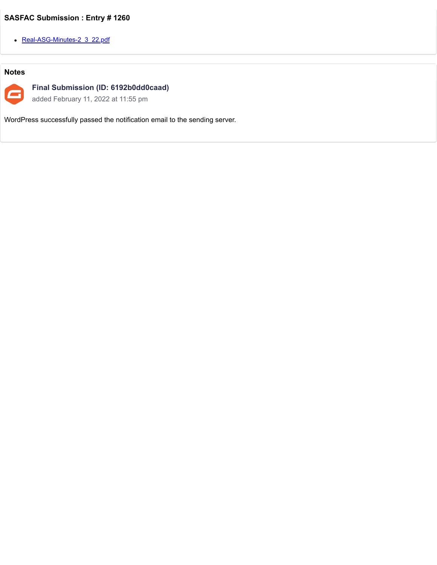• [Real-ASG-Minutes-2\\_3\\_22.pdf](https://trusteeorgsupport.uconn.edu/index.php?gf-download=2022%2F02%2FReal-ASG-Minutes-2_3_22.pdf&form-id=18&field-id=57&hash=937532e3491f6b8709f29bad4965e50887e8f65303cae3f4178794aaf0253f2a)

### **Notes**



**Final Submission (ID: 6192b0dd0caad)**

added February 11, 2022 at 11:55 pm

WordPress successfully passed the notification email to the sending server.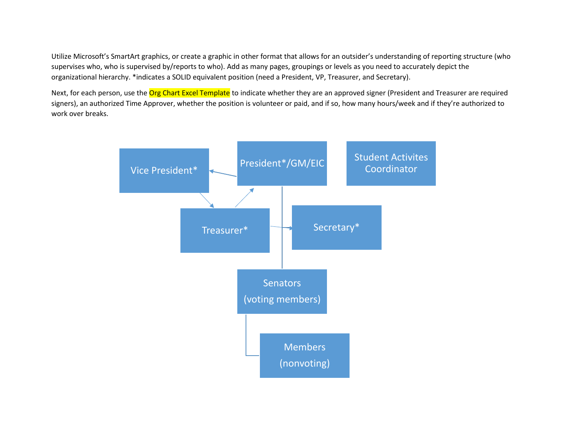Utilize Microsoft's SmartArt graphics, or create a graphic in other format that allows for an outsider's understanding of reporting structure (who supervises who, who is supervised by/reports to who). Add as many pages, groupings or levels as you need to accurately depict the organizational hierarchy. \*indicates a SOLID equivalent position (need a President, VP, Treasurer, and Secretary).

Next, for each person, use the Org Chart Excel Template to indicate whether they are an approved signer (President and Treasurer are required signers), an authorized Time Approver, whether the position is volunteer or paid, and if so, how many hours/week and if they're authorized to work over breaks.

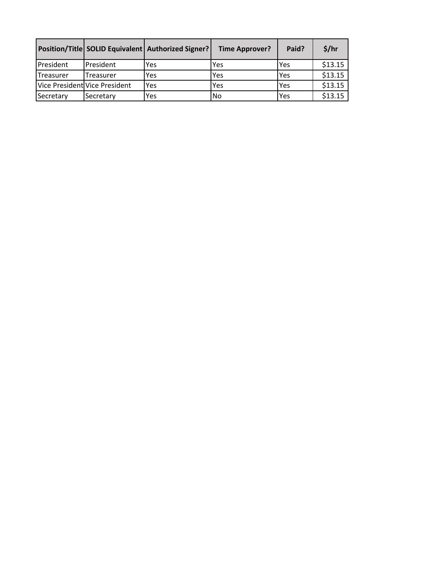|                   |                               | Position/Title SOLID Equivalent   Authorized Signer? | <b>Time Approver?</b> | Paid? | \$/hr   |
|-------------------|-------------------------------|------------------------------------------------------|-----------------------|-------|---------|
| President         | President                     | Yes                                                  | Yes                   | Yes   | \$13.15 |
| <b>ITreasurer</b> | Treasurer                     | Yes                                                  | Yes                   | Yes   | \$13.15 |
|                   | Vice President Vice President | Yes                                                  | Yes                   | Yes   | \$13.15 |
| Secretary         | Secretary                     | Yes                                                  | No                    | Yes   | \$13.15 |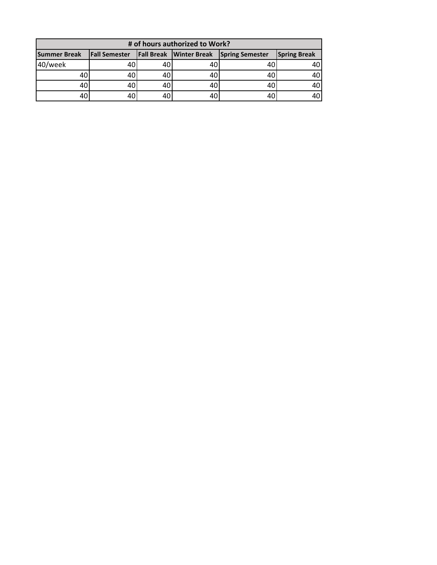| # of hours authorized to Work? |                      |    |                                |                        |                     |  |  |  |
|--------------------------------|----------------------|----|--------------------------------|------------------------|---------------------|--|--|--|
| <b>Summer Break</b>            | <b>Fall Semester</b> |    | <b>Fall Break Winter Break</b> | <b>Spring Semester</b> | <b>Spring Break</b> |  |  |  |
| 40/week                        |                      | 40 | 40                             |                        | 40                  |  |  |  |
| 40                             |                      | 40 | 40                             |                        | 40                  |  |  |  |
| 40                             |                      | 40 | 40                             |                        | 40                  |  |  |  |
| 40                             |                      | 40 | 40                             |                        |                     |  |  |  |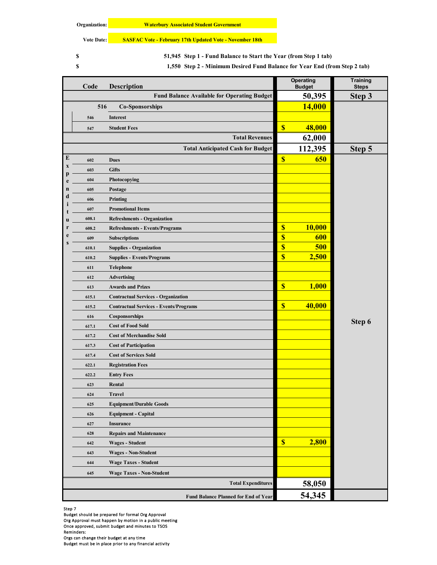**Vote Date: SASFAC Vote - February 17th Updated Vote - November 18th**

**S** 51,945 Step 1 - Fund Balance to Start the Year (from Step 1 tab)

**S** 1,550 Step 2 - Minimum Desired Fund Balance for Year End (from Step 2 tab)

|             | Code             | <b>Description</b>                                 | Operating<br><b>Budget</b> |               | Training<br><b>Steps</b> |
|-------------|------------------|----------------------------------------------------|----------------------------|---------------|--------------------------|
|             |                  | <b>Fund Balance Available for Operating Budget</b> |                            | 50,395        | Step 3                   |
|             | 516              | <b>Co-Sponsorships</b>                             |                            | <b>14,000</b> |                          |
|             | 546              | Interest                                           |                            |               |                          |
|             | 547              | <b>Student Fees</b>                                | $\boldsymbol{\mathsf{S}}$  | 48,000        |                          |
|             |                  | <b>Total Revenues</b>                              |                            | 62,000        |                          |
|             |                  | <b>Total Anticipated Cash for Budget</b>           |                            | 112,395       | Step 5                   |
| E           | 602              | <b>Dues</b>                                        | $\overline{\mathbf{S}}$    | 650           |                          |
| $\mathbf x$ | 603              | <b>Gifts</b>                                       |                            |               |                          |
| e           | 604              | Photocopying                                       |                            |               |                          |
| n           | 605              | Postage                                            |                            |               |                          |
| $\mathbf c$ | 606              | Printing                                           |                            |               |                          |
|             | 607              | <b>Promotional Items</b>                           |                            |               |                          |
| П           | 608.1            | <b>Refreshments - Organization</b>                 |                            |               |                          |
|             | 608.2            | <b>Refreshments - Events/Programs</b>              | $\overline{\mathbb{S}}$    | <b>10,000</b> |                          |
|             | 609              | Subscriptions                                      | \$                         | 600           |                          |
|             | 610.1            | <b>Supplies - Organization</b>                     | \$                         | 500           |                          |
|             | 610.2            | <b>Supplies - Events/Programs</b>                  | $\overline{\mathbf{S}}$    | 2,500         |                          |
|             | Telephone<br>611 |                                                    |                            |               |                          |
|             | 612              | <b>Advertising</b>                                 |                            |               |                          |
|             | 613              | <b>Awards and Prizes</b>                           | $\overline{\mathbf{S}}$    | 1,000         |                          |
|             | 615.1            | <b>Contractual Services - Organization</b>         |                            |               |                          |
|             | 615.2            | <b>Contractual Services - Events/Programs</b>      | \$                         | 40,000        |                          |
|             | 616              | Cosponsorships                                     |                            |               |                          |
|             | 617.1            | <b>Cost of Food Sold</b>                           |                            |               | Step 6                   |
|             | 617.2            | <b>Cost of Merchandise Sold</b>                    |                            |               |                          |
|             | 617.3            | <b>Cost of Participation</b>                       |                            |               |                          |
|             | 617.4            | <b>Cost of Services Sold</b>                       |                            |               |                          |
|             | 622.1            | <b>Registration Fees</b>                           |                            |               |                          |
|             | 622.2            | <b>Entry Fees</b>                                  |                            |               |                          |
|             | 623              | Rental                                             |                            |               |                          |
|             | 624              | <b>Travel</b>                                      |                            |               |                          |
|             | 625              | <b>Equipment/Durable Goods</b>                     |                            |               |                          |
|             | 626              | <b>Equipment - Capital</b>                         |                            |               |                          |
|             | 627              | <b>Insurance</b>                                   |                            |               |                          |
|             | 628              | <b>Repairs and Maintenance</b>                     |                            |               |                          |
|             | 642              | <b>Wages - Student</b>                             | $\boldsymbol{\mathsf{S}}$  | 2,800         |                          |
|             | 643              | <b>Wages - Non-Student</b>                         |                            |               |                          |
|             | 644              | <b>Wage Taxes - Student</b>                        |                            |               |                          |
|             | 645              | <b>Wage Taxes - Non-Student</b>                    |                            |               |                          |
|             |                  | <b>Total Expenditures</b>                          |                            | 58,050        |                          |
|             |                  | Fund Balance Planned for End of Year               |                            | 54,345        |                          |

Step 7

Budget should be prepared for formal Org Approval Org Approval must happen by motion in a public meeting Once approved, submit budget and minutes to TSOS

Reminders:

Orgs can change their budget at any time

Budget must be in place prior to any financial activity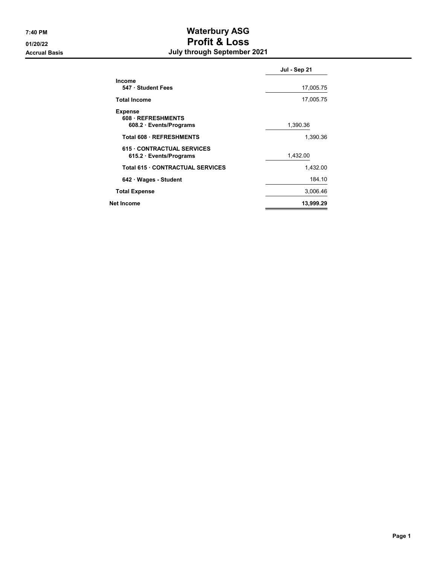# 7:40 PM Waterbury ASG 01/20/22 Profit & Loss Accrual Basis July through September 2021

|                                                                  | Jul - Sep 21 |
|------------------------------------------------------------------|--------------|
| <b>Income</b><br>547 Student Fees                                | 17,005.75    |
| <b>Total Income</b>                                              | 17,005.75    |
| <b>Expense</b><br>608 REFRESHMENTS<br>608.2 · Events/Programs    | 1,390.36     |
| Total 608 · REFRESHMENTS                                         | 1,390.36     |
| <b>615 CONTRACTUAL SERVICES</b><br>$615.2 \cdot Events/Programs$ | 1,432.00     |
| <b>Total 615 CONTRACTUAL SERVICES</b>                            | 1.432.00     |
| 642 Wages - Student                                              | 184.10       |
| <b>Total Expense</b>                                             | 3,006.46     |
| Net Income                                                       | 13,999.29    |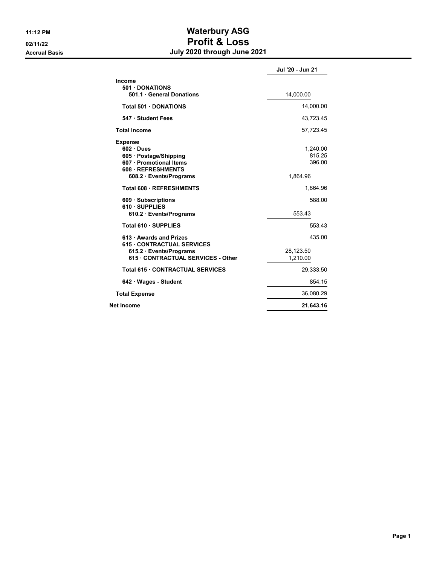# 11:12 PM Waterbury ASG 02/11/22 Profit & Loss Accrual Basis **Accrual Basis July 2020 through June 2021**

|                                                                                                                                | Jul '20 - Jun 21                         |
|--------------------------------------------------------------------------------------------------------------------------------|------------------------------------------|
| Income<br>501 DONATIONS<br>501.1 General Donations                                                                             | 14,000.00                                |
| <b>Total 501 DONATIONS</b>                                                                                                     | 14,000.00                                |
| 547 Student Fees                                                                                                               | 43,723.45                                |
| <b>Total Income</b>                                                                                                            | 57,723.45                                |
| <b>Expense</b><br>602 Dues<br>605 · Postage/Shipping<br>607 · Promotional Items<br>608 REFRESHMENTS<br>608.2 · Events/Programs | 1,240.00<br>815.25<br>396.00<br>1,864.96 |
| Total 608 REFRESHMENTS                                                                                                         | 1,864.96                                 |
| 609 Subscriptions<br>610 SUPPLIES<br>610.2 · Events/Programs                                                                   | 588.00<br>553.43                         |
| Total 610 · SUPPLIES                                                                                                           | 553.43                                   |
| 613 Awards and Prizes                                                                                                          | 435.00                                   |
| <b>615 CONTRACTUAL SERVICES</b><br>615.2 · Events/Programs<br>615 CONTRACTUAL SERVICES - Other                                 | 28,123.50<br>1,210.00                    |
| Total 615 . CONTRACTUAL SERVICES                                                                                               | 29,333.50                                |
| 642 · Wages - Student                                                                                                          | 854.15                                   |
| <b>Total Expense</b>                                                                                                           | 36,080.29                                |
| Net Income                                                                                                                     | 21,643.16                                |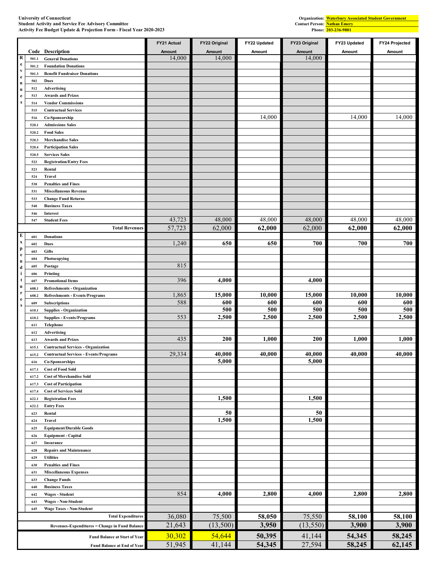|                              |              |                                                       | FY21 Actual | FY22 Original   | FY22 Updated | FY23 Original   | FY23 Updated | FY24 Projected |
|------------------------------|--------------|-------------------------------------------------------|-------------|-----------------|--------------|-----------------|--------------|----------------|
|                              | Code         | <b>Description</b>                                    | Amount      | Amount          | Amount       | <b>Amount</b>   | Amount       | Amount         |
| R                            | 501.1        | <b>General Donations</b>                              | 14,000      | 14,000          |              | 14,000          |              |                |
| $\mathbf{e}$<br>$\mathbf{v}$ | 501.2        | <b>Foundation Donations</b>                           |             |                 |              |                 |              |                |
| $\mathbf{e}$                 | 501.3        | <b>Benefit Fundraiser Donations</b>                   |             |                 |              |                 |              |                |
| $\bf n$                      | 502          | Dues                                                  |             |                 |              |                 |              |                |
| $\bf u$                      | 512          | Advertising                                           |             |                 |              |                 |              |                |
| $\mathbf{e}$<br>s            | 513<br>514   | <b>Awards and Prizes</b><br><b>Vendor Commissions</b> |             |                 |              |                 |              |                |
|                              | 515          | <b>Contractual Services</b>                           |             |                 |              |                 |              |                |
|                              | 516          | Co-Sponsorship                                        |             |                 | 14,000       |                 | 14,000       | 14,000         |
|                              | 520.1        | <b>Admissions Sales</b>                               |             |                 |              |                 |              |                |
|                              | 520.2        | <b>Food Sales</b>                                     |             |                 |              |                 |              |                |
|                              | 520.3        | <b>Merchandise Sales</b>                              |             |                 |              |                 |              |                |
|                              | 520.4        | <b>Participation Sales</b>                            |             |                 |              |                 |              |                |
|                              | 520.5        | <b>Services Sales</b>                                 |             |                 |              |                 |              |                |
|                              | 522          | <b>Registration/Entry Fees</b>                        |             |                 |              |                 |              |                |
|                              | 523          | Rental                                                |             |                 |              |                 |              |                |
|                              | 524<br>530   | <b>Travel</b><br><b>Penalties and Fines</b>           |             |                 |              |                 |              |                |
|                              | 531          | <b>Miscellaneous Revenue</b>                          |             |                 |              |                 |              |                |
|                              | 533          | <b>Change Fund Returns</b>                            |             |                 |              |                 |              |                |
|                              | 540          | <b>Business Taxes</b>                                 |             |                 |              |                 |              |                |
|                              | 546          | Interest                                              |             |                 |              |                 |              |                |
|                              | 547          | <b>Student Fees</b>                                   | 43,723      | 48,000          | 48,000       | 48,000          | 48,000       | 48,000         |
|                              |              | <b>Total Revenues</b>                                 | 57,723      | 62,000          | 62,000       | 62,000          | 62,000       | 62,000         |
| E                            | 601          | <b>Donations</b>                                      |             |                 |              |                 |              |                |
| $\mathbf x$                  | 602          | Dues                                                  | 1,240       | 650             | 650          | 700             | 700          | 700            |
| p<br>e                       | 603          | <b>Gifts</b>                                          |             |                 |              |                 |              |                |
| $\bf n$                      | 604          | Photocopying                                          |             |                 |              |                 |              |                |
| $\mathbf d$                  | 605          | Postage                                               | 815         |                 |              |                 |              |                |
| i<br>t                       | 606          | Printing<br><b>Promotional Items</b>                  | 396         | 4,000           |              | 4,000           |              |                |
| u                            | 607<br>608.1 | <b>Refreshments - Organization</b>                    |             |                 |              |                 |              |                |
| r                            | 608.2        | <b>Refreshments - Events/Programs</b>                 | 1,865       | 15,000          | 10,000       | 15,000          | 10,000       | 10,000         |
| $\mathbf{e}$<br>$\mathbf{s}$ | 609          | <b>Subscriptions</b>                                  | 588         | 600             | 600          | 600             | 600          | 600            |
|                              | 610.1        | <b>Supplies - Organization</b>                        |             | 500             | 500          | 500             | 500          | 500            |
|                              | 610.2        | <b>Supplies - Events/Programs</b>                     | 553         | 2,500           | 2,500        | 2,500           | 2,500        | 2,500          |
|                              | 611          | Telephone                                             |             |                 |              |                 |              |                |
|                              | 612          | Advertising                                           |             |                 |              |                 |              |                |
|                              | 613          | <b>Awards and Prizes</b>                              | 435         | 200             | 1,000        | <b>200</b>      | 1,000        | 1,000          |
|                              | 615.1        | <b>Contractual Services - Organization</b>            |             |                 |              |                 |              |                |
|                              | 615.2        | <b>Contractual Services - Events/Programs</b>         | 29,334      | 40,000<br>5,000 | 40,000       | 40,000<br>5,000 | 40,000       | 40,000         |
|                              | 616<br>617.1 | Co-Sponsorships<br><b>Cost of Food Sold</b>           |             |                 |              |                 |              |                |
|                              | 617.2        | <b>Cost of Merchandise Sold</b>                       |             |                 |              |                 |              |                |
|                              | 617.3        | <b>Cost of Participation</b>                          |             |                 |              |                 |              |                |
|                              | 617.4        | <b>Cost of Services Sold</b>                          |             |                 |              |                 |              |                |
|                              | 622.1        | <b>Registration Fees</b>                              |             | 1,500           |              | 1,500           |              |                |
|                              | 622.2        | <b>Entry Fees</b>                                     |             |                 |              |                 |              |                |
|                              | 623          | Rental                                                |             | 50              |              | 50              |              |                |
|                              | 624          | Travel                                                |             | 1,500           |              | 1,500           |              |                |
|                              | 625          | <b>Equipment/Durable Goods</b>                        |             |                 |              |                 |              |                |
|                              | 626          | <b>Equipment - Capital</b>                            |             |                 |              |                 |              |                |
|                              | 627          | Insurance                                             |             |                 |              |                 |              |                |
|                              | 628<br>629   | <b>Repairs and Maintenance</b><br><b>Utilities</b>    |             |                 |              |                 |              |                |
|                              | 630          | <b>Penalties and Fines</b>                            |             |                 |              |                 |              |                |
|                              | 631          | <b>Miscellaneous Expenses</b>                         |             |                 |              |                 |              |                |
|                              | 633          | <b>Change Funds</b>                                   |             |                 |              |                 |              |                |
|                              | 640          | <b>Business Taxes</b>                                 |             |                 |              |                 |              |                |
|                              | 642          | <b>Wages - Student</b>                                | 854         | 4,000           | 2,800        | 4,000           | 2,800        | 2,800          |
|                              | 643          | <b>Wages - Non-Student</b>                            |             |                 |              |                 |              |                |
|                              | 645          | <b>Wage Taxes - Non-Student</b>                       |             |                 |              |                 |              |                |
|                              |              | <b>Total Expenditures</b>                             | 36,080      | 75,500          | 58,050       | 75,550          | 58,100       | 58,100         |
|                              |              | Revenues-Expenditures = Change in Fund Balance        | 21,643      | (13,500)        | 3,950        | (13, 550)       | 3,900        | 3,900          |
|                              |              | <b>Fund Balance at Start of Year</b>                  | 30,302      | 54,644          | 50,395       | 41,144          | 54,345       | 58,245         |
|                              |              | Fund Balance at End of Year                           | 51,945      | 41,144          | 54,345       | 27,594          | 58,245       | 62,145         |

#### **University of Connecticut Student Activity and Service Fee Advisory Committee Contact Person: Activity Fee Budget Update & Projection Form - Fiscal Year 2020-2023 Phone:**

**203-236-9801 Waterbury Associated Student Government Nathan Emery**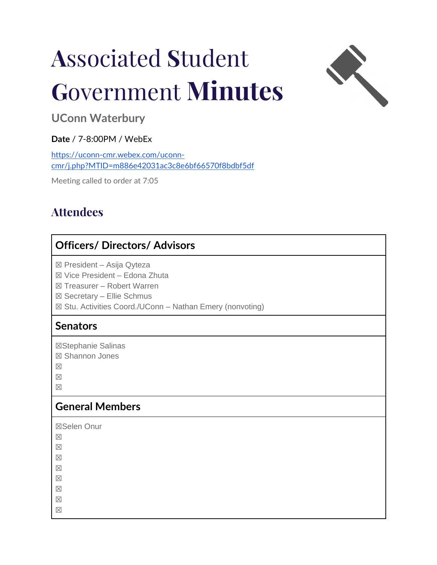# **A**ssociated **S**tudent **G**overnment **Minutes**



**UConn Waterbury** 

# **Date** / 7-8:00PM / WebEx

[https://uconn-cmr.webex.com/uconn](https://uconn-cmr.webex.com/uconn-cmr/j.php?MTID=m886e42031ac3c8e6bf66570f8bdbf5df)[cmr/j.php?MTID=m886e42031ac3c8e6bf66570f8bdbf5df](https://uconn-cmr.webex.com/uconn-cmr/j.php?MTID=m886e42031ac3c8e6bf66570f8bdbf5df)

Meeting called to order at 7:05

# **Attendees**

# **Officers/ Directors/ Advisors**

☒ President – Asija Qyteza

☒ Vice President – Edona Zhuta

☒ Treasurer – Robert Warren

☒ Secretary – Ellie Schmus

☒ Stu. Activities Coord./UConn – Nathan Emery (nonvoting)

# **Senators**

☒Stephanie Salinas

☒ Shannon Jones

☒

 $\boxtimes$ 

☒

# **General Members**

☒Selen Onur

☒

☒

☒

☒

 $\overline{\times}$ 

☒

☒

☒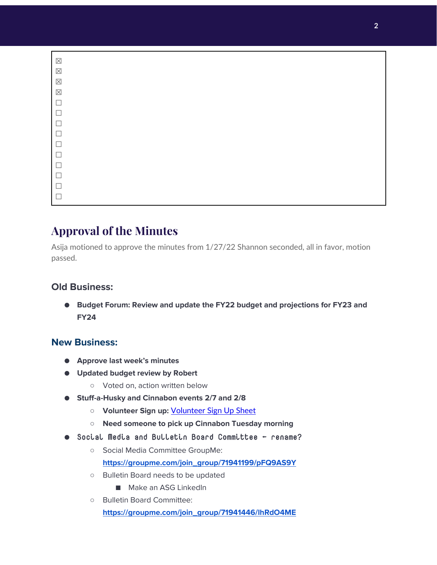| $\boxtimes$ |  |  |  |  |
|-------------|--|--|--|--|
| $\boxtimes$ |  |  |  |  |
| $\boxtimes$ |  |  |  |  |
| $\boxtimes$ |  |  |  |  |
| $\Box$      |  |  |  |  |
| $\Box$      |  |  |  |  |
| $\Box$      |  |  |  |  |
| $\Box$      |  |  |  |  |
| $\Box$      |  |  |  |  |
| $\Box$      |  |  |  |  |
| $\Box$      |  |  |  |  |
| $\Box$      |  |  |  |  |
| $\Box$      |  |  |  |  |
|             |  |  |  |  |

# **Approval of the Minutes**

Asija motioned to approve the minutes from 1/27/22 Shannon seconded, all in favor, motion passed.

# **Old Business:**

● **Budget Forum: Review and update the FY22 budget and projections for FY23 and FY24**

# **New Business:**

- **Approve last week's minutes**
- **Updated budget review by Robert**
	- Voted on, action written below
- **Stuff-a-Husky and Cinnabon events 2/7 and 2/8**
	- **Volunteer Sign up:** [Volunteer Sign Up Sheet](https://docs.google.com/document/d/1QsC3PGn9W-f6PApLg8XPcBe1XDUj00dJKJWXIxy0uR4/edit)
	- **Need someone to pick up Cinnabon Tuesday morning**
- Social Media and Bulletin Board Committee ← rename?
	- Social Media Committee GroupMe:

**[https://groupme.com/join\\_group/71941199/pFQ9AS9Y](https://groupme.com/join_group/71941199/pFQ9AS9Y)**

- Bulletin Board needs to be updated
	- Make an ASG LinkedIn
- Bulletin Board Committee: **[https://groupme.com/join\\_group/71941446/lhRdO4ME](https://groupme.com/join_group/71941446/lhRdO4ME)**